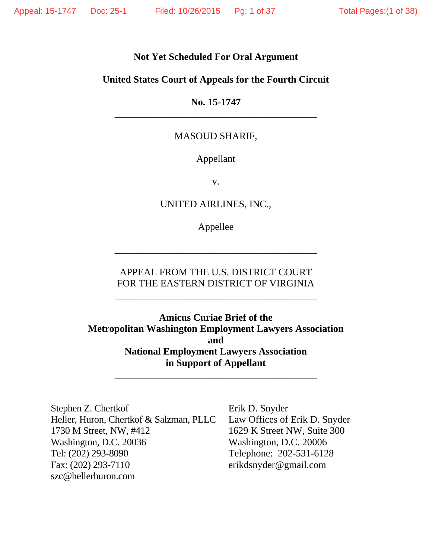## **Not Yet Scheduled For Oral Argument**

### **United States Court of Appeals for the Fourth Circuit**

## **No. 15-1747** \_\_\_\_\_\_\_\_\_\_\_\_\_\_\_\_\_\_\_\_\_\_\_\_\_\_\_\_\_\_\_\_\_\_\_\_\_\_\_\_\_

### MASOUD SHARIF,

### Appellant

v.

UNITED AIRLINES, INC.*,*

Appellee

\_\_\_\_\_\_\_\_\_\_\_\_\_\_\_\_\_\_\_\_\_\_\_\_\_\_\_\_\_\_\_\_\_\_\_\_\_\_\_\_\_

## APPEAL FROM THE U.S. DISTRICT COURT FOR THE EASTERN DISTRICT OF VIRGINIA

\_\_\_\_\_\_\_\_\_\_\_\_\_\_\_\_\_\_\_\_\_\_\_\_\_\_\_\_\_\_\_\_\_\_\_\_\_\_\_\_\_

**Amicus Curiae Brief of the Metropolitan Washington Employment Lawyers Association and National Employment Lawyers Association in Support of Appellant** 

\_\_\_\_\_\_\_\_\_\_\_\_\_\_\_\_\_\_\_\_\_\_\_\_\_\_\_\_\_\_\_\_\_\_\_\_\_\_\_\_\_

Stephen Z. Chertkof Erik D. Snyder Heller, Huron, Chertkof & Salzman, PLLC Law Offices of Erik D. Snyder 1730 M Street, NW, #412 1629 K Street NW, Suite 300 Washington, D.C. 20036 Washington, D.C. 20006 Tel: (202) 293-8090 Telephone: 202-531-6128 Fax: (202) 293-7110 erikdsnyder@gmail.com szc@hellerhuron.com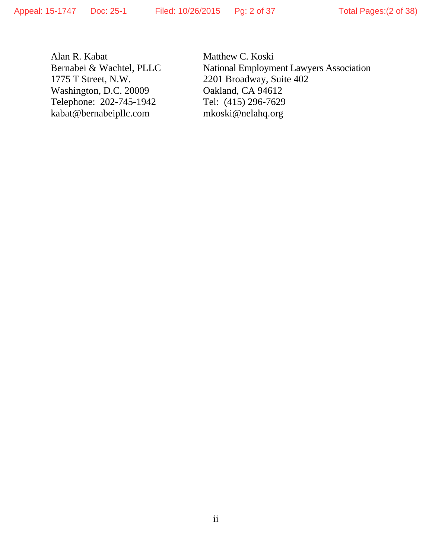Alan R. Kabat Matthew C. Koski Washington, D.C. 20009 Oakland, CA 94612 Telephone: 202-745-1942 Tel: (415) 296-7629 kabat@bernabeipllc.com mkoski@nelahq.org

Bernabei & Wachtel, PLLC National Employment Lawyers Association<br>1775 T Street, N.W. 2201 Broadway, Suite 402 2201 Broadway, Suite 402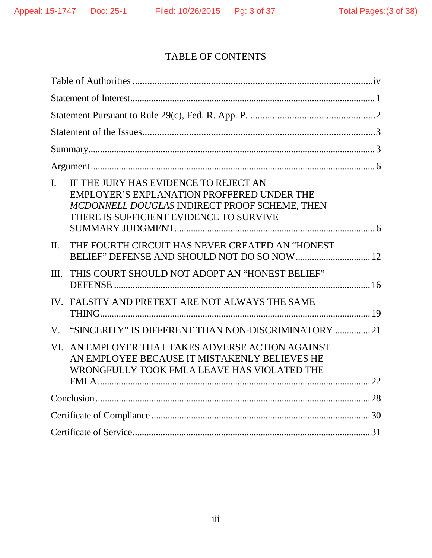# TABLE OF CONTENTS

| IF THE JURY HAS EVIDENCE TO REJECT AN<br>$\mathbf{I}$ .<br><b>EMPLOYER'S EXPLANATION PROFFERED UNDER THE</b><br>MCDONNELL DOUGLAS INDIRECT PROOF SCHEME, THEN<br>THERE IS SUFFICIENT EVIDENCE TO SURVIVE |  |
|----------------------------------------------------------------------------------------------------------------------------------------------------------------------------------------------------------|--|
| THE FOURTH CIRCUIT HAS NEVER CREATED AN "HONEST<br>$\Pi$ .                                                                                                                                               |  |
| III.<br>THIS COURT SHOULD NOT ADOPT AN "HONEST BELIEF"                                                                                                                                                   |  |
| IV. FALSITY AND PRETEXT ARE NOT ALWAYS THE SAME                                                                                                                                                          |  |
| "SINCERITY" IS DIFFERENT THAN NON-DISCRIMINATORY  21<br>$V_{\cdot}$                                                                                                                                      |  |
| AN EMPLOYER THAT TAKES ADVERSE ACTION AGAINST<br>VI.<br>AN EMPLOYEE BECAUSE IT MISTAKENLY BELIEVES HE<br>WRONGFULLY TOOK FMLA LEAVE HAS VIOLATED THE                                                     |  |
|                                                                                                                                                                                                          |  |
|                                                                                                                                                                                                          |  |
|                                                                                                                                                                                                          |  |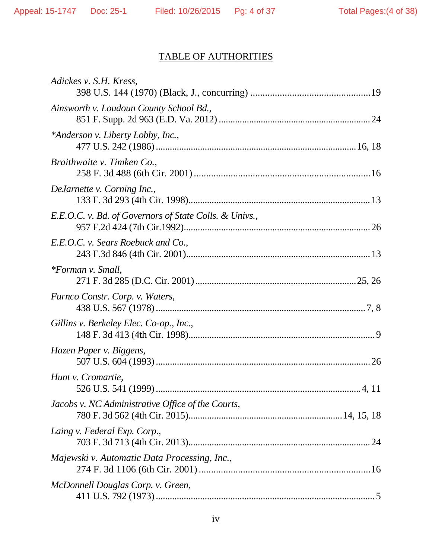# TABLE OF AUTHORITIES

| Adickes v. S.H. Kress,                                 |
|--------------------------------------------------------|
| Ainsworth v. Loudoun County School Bd.,                |
| *Anderson v. Liberty Lobby, Inc.,                      |
| Braithwaite v. Timken Co.,                             |
| DeJarnette v. Corning Inc.,                            |
| E.E.O.C. v. Bd. of Governors of State Colls. & Univs., |
| E.E.O.C. v. Sears Roebuck and Co.,                     |
| <i>*Forman v. Small,</i>                               |
| Furnco Constr. Corp. v. Waters,                        |
| Gillins v. Berkeley Elec. Co-op., Inc.,                |
|                                                        |
| Hazen Paper v. Biggens,                                |
| Hunt v. Cromartie,<br>526 U.S. 541 (1999).<br>4, 11    |
| Jacobs v. NC Administrative Office of the Courts,      |
| Laing v. Federal Exp. Corp.,                           |
| Majewski v. Automatic Data Processing, Inc.,           |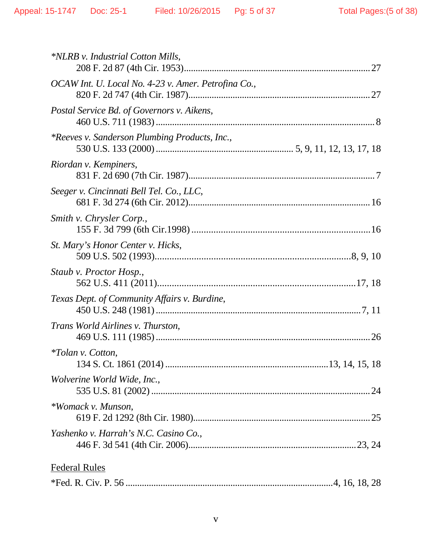| *NLRB v. Industrial Cotton Mills,                   |  |
|-----------------------------------------------------|--|
| OCAW Int. U. Local No. 4-23 v. Amer. Petrofina Co., |  |
| Postal Service Bd. of Governors v. Aikens,          |  |
| *Reeves v. Sanderson Plumbing Products, Inc.,       |  |
| Riordan v. Kempiners,                               |  |
| Seeger v. Cincinnati Bell Tel. Co., LLC,            |  |
| Smith v. Chrysler Corp.,                            |  |
| St. Mary's Honor Center v. Hicks,                   |  |
| Staub v. Proctor Hosp.,                             |  |
| Texas Dept. of Community Affairs v. Burdine,        |  |
| Trans World Airlines v. Thurston,                   |  |
| <i>*Tolan v. Cotton,</i>                            |  |
| Wolverine World Wide, Inc.,                         |  |
| *Womack v. Munson,                                  |  |
| Yashenko v. Harrah's N.C. Casino Co.,               |  |
| <b>Federal Rules</b>                                |  |
|                                                     |  |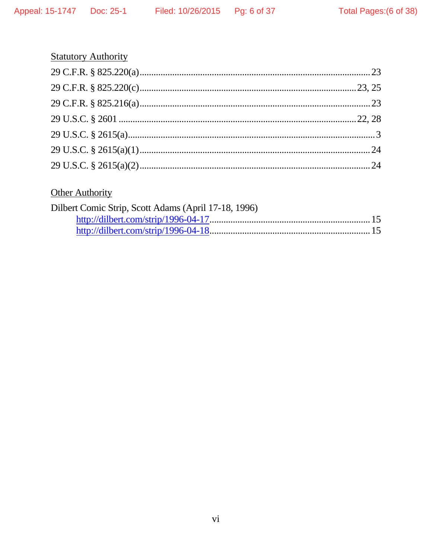# **Statutory Authority**

# Other Authority

| Dilbert Comic Strip, Scott Adams (April 17-18, 1996) |  |
|------------------------------------------------------|--|
|                                                      |  |
|                                                      |  |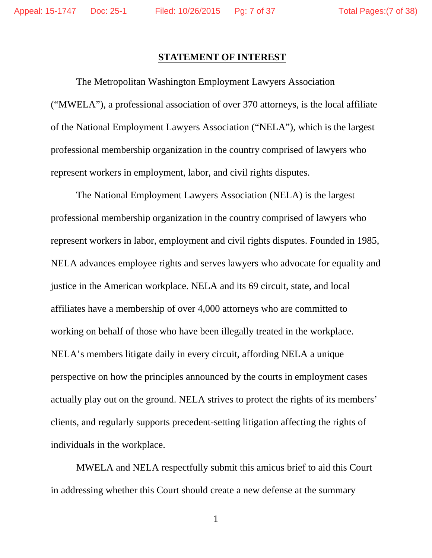### **STATEMENT OF INTEREST**

The Metropolitan Washington Employment Lawyers Association ("MWELA"), a professional association of over 370 attorneys, is the local affiliate of the National Employment Lawyers Association ("NELA"), which is the largest professional membership organization in the country comprised of lawyers who represent workers in employment, labor, and civil rights disputes.

The National Employment Lawyers Association (NELA) is the largest professional membership organization in the country comprised of lawyers who represent workers in labor, employment and civil rights disputes. Founded in 1985, NELA advances employee rights and serves lawyers who advocate for equality and justice in the American workplace. NELA and its 69 circuit, state, and local affiliates have a membership of over 4,000 attorneys who are committed to working on behalf of those who have been illegally treated in the workplace. NELA's members litigate daily in every circuit, affording NELA a unique perspective on how the principles announced by the courts in employment cases actually play out on the ground. NELA strives to protect the rights of its members' clients, and regularly supports precedent-setting litigation affecting the rights of individuals in the workplace.

MWELA and NELA respectfully submit this amicus brief to aid this Court in addressing whether this Court should create a new defense at the summary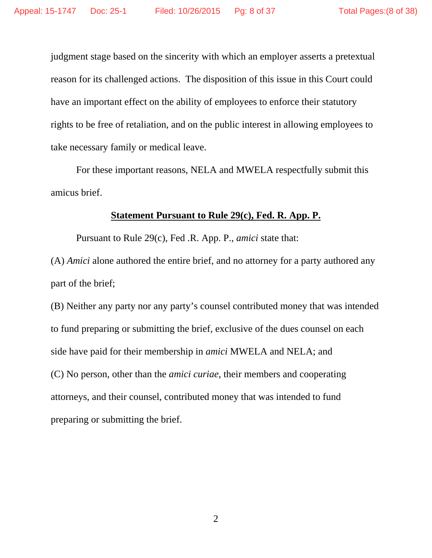judgment stage based on the sincerity with which an employer asserts a pretextual reason for its challenged actions. The disposition of this issue in this Court could have an important effect on the ability of employees to enforce their statutory rights to be free of retaliation, and on the public interest in allowing employees to take necessary family or medical leave.

For these important reasons, NELA and MWELA respectfully submit this amicus brief.

### **Statement Pursuant to Rule 29(c), Fed. R. App. P.**

Pursuant to Rule 29(c), Fed .R. App. P., *amici* state that:

(A) *Amici* alone authored the entire brief, and no attorney for a party authored any part of the brief;

(B) Neither any party nor any party's counsel contributed money that was intended to fund preparing or submitting the brief, exclusive of the dues counsel on each side have paid for their membership in *amici* MWELA and NELA; and (C) No person, other than the *amici curiae*, their members and cooperating attorneys, and their counsel, contributed money that was intended to fund preparing or submitting the brief.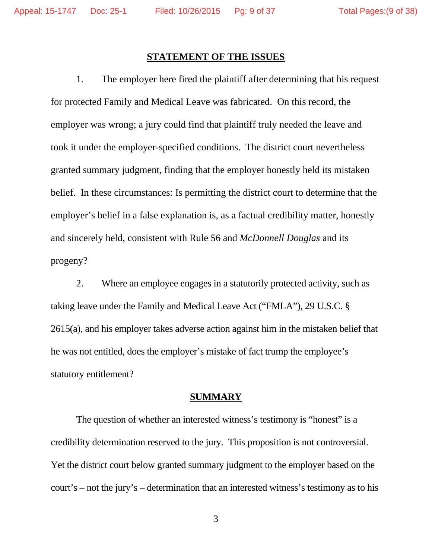#### **STATEMENT OF THE ISSUES**

1. The employer here fired the plaintiff after determining that his request for protected Family and Medical Leave was fabricated. On this record, the employer was wrong; a jury could find that plaintiff truly needed the leave and took it under the employer-specified conditions. The district court nevertheless granted summary judgment, finding that the employer honestly held its mistaken belief. In these circumstances: Is permitting the district court to determine that the employer's belief in a false explanation is, as a factual credibility matter, honestly and sincerely held, consistent with Rule 56 and *McDonnell Douglas* and its progeny?

2. Where an employee engages in a statutorily protected activity, such as taking leave under the Family and Medical Leave Act ("FMLA"), 29 U.S.C. § 2615(a), and his employer takes adverse action against him in the mistaken belief that he was not entitled, does the employer's mistake of fact trump the employee's statutory entitlement?

#### **SUMMARY**

The question of whether an interested witness's testimony is "honest" is a credibility determination reserved to the jury. This proposition is not controversial. Yet the district court below granted summary judgment to the employer based on the court's – not the jury's – determination that an interested witness's testimony as to his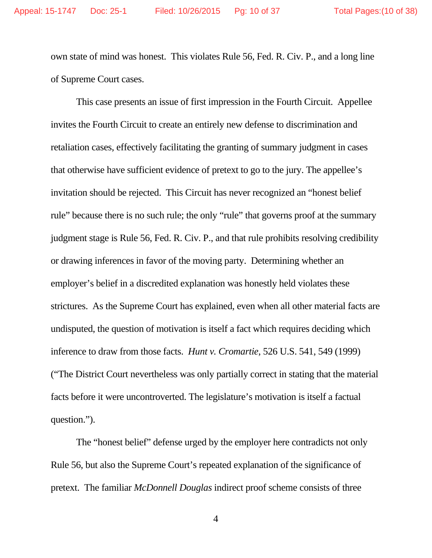own state of mind was honest. This violates Rule 56, Fed. R. Civ. P., and a long line of Supreme Court cases.

This case presents an issue of first impression in the Fourth Circuit. Appellee invites the Fourth Circuit to create an entirely new defense to discrimination and retaliation cases, effectively facilitating the granting of summary judgment in cases that otherwise have sufficient evidence of pretext to go to the jury. The appellee's invitation should be rejected. This Circuit has never recognized an "honest belief rule" because there is no such rule; the only "rule" that governs proof at the summary judgment stage is Rule 56, Fed. R. Civ. P., and that rule prohibits resolving credibility or drawing inferences in favor of the moving party. Determining whether an employer's belief in a discredited explanation was honestly held violates these strictures. As the Supreme Court has explained, even when all other material facts are undisputed, the question of motivation is itself a fact which requires deciding which inference to draw from those facts. *Hunt v. Cromartie*, 526 U.S. 541, 549 (1999) ("The District Court nevertheless was only partially correct in stating that the material facts before it were uncontroverted. The legislature's motivation is itself a factual question.").

The "honest belief" defense urged by the employer here contradicts not only Rule 56, but also the Supreme Court's repeated explanation of the significance of pretext. The familiar *McDonnell Douglas* indirect proof scheme consists of three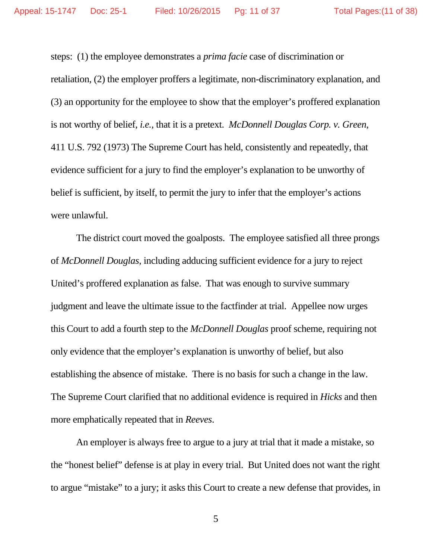steps: (1) the employee demonstrates a *prima facie* case of discrimination or retaliation, (2) the employer proffers a legitimate, non-discriminatory explanation, and (3) an opportunity for the employee to show that the employer's proffered explanation is not worthy of belief, *i.e.*, that it is a pretext. *McDonnell Douglas Corp. v. Green*, 411 U.S. 792 (1973) The Supreme Court has held, consistently and repeatedly, that evidence sufficient for a jury to find the employer's explanation to be unworthy of belief is sufficient, by itself, to permit the jury to infer that the employer's actions were unlawful.

The district court moved the goalposts. The employee satisfied all three prongs of *McDonnell Douglas*, including adducing sufficient evidence for a jury to reject United's proffered explanation as false. That was enough to survive summary judgment and leave the ultimate issue to the factfinder at trial. Appellee now urges this Court to add a fourth step to the *McDonnell Douglas* proof scheme, requiring not only evidence that the employer's explanation is unworthy of belief, but also establishing the absence of mistake. There is no basis for such a change in the law. The Supreme Court clarified that no additional evidence is required in *Hicks* and then more emphatically repeated that in *Reeves*.

An employer is always free to argue to a jury at trial that it made a mistake, so the "honest belief" defense is at play in every trial. But United does not want the right to argue "mistake" to a jury; it asks this Court to create a new defense that provides, in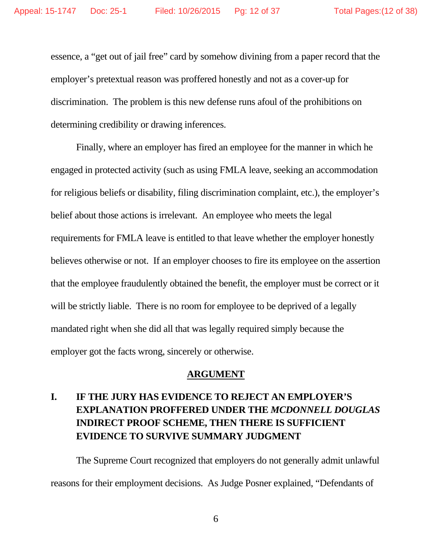essence, a "get out of jail free" card by somehow divining from a paper record that the employer's pretextual reason was proffered honestly and not as a cover-up for discrimination. The problem is this new defense runs afoul of the prohibitions on determining credibility or drawing inferences.

Finally, where an employer has fired an employee for the manner in which he engaged in protected activity (such as using FMLA leave, seeking an accommodation for religious beliefs or disability, filing discrimination complaint, etc.), the employer's belief about those actions is irrelevant. An employee who meets the legal requirements for FMLA leave is entitled to that leave whether the employer honestly believes otherwise or not. If an employer chooses to fire its employee on the assertion that the employee fraudulently obtained the benefit, the employer must be correct or it will be strictly liable. There is no room for employee to be deprived of a legally mandated right when she did all that was legally required simply because the employer got the facts wrong, sincerely or otherwise.

### **ARGUMENT**

## **I. IF THE JURY HAS EVIDENCE TO REJECT AN EMPLOYER'S EXPLANATION PROFFERED UNDER THE** *MCDONNELL DOUGLAS* **INDIRECT PROOF SCHEME, THEN THERE IS SUFFICIENT EVIDENCE TO SURVIVE SUMMARY JUDGMENT**

The Supreme Court recognized that employers do not generally admit unlawful reasons for their employment decisions. As Judge Posner explained, "Defendants of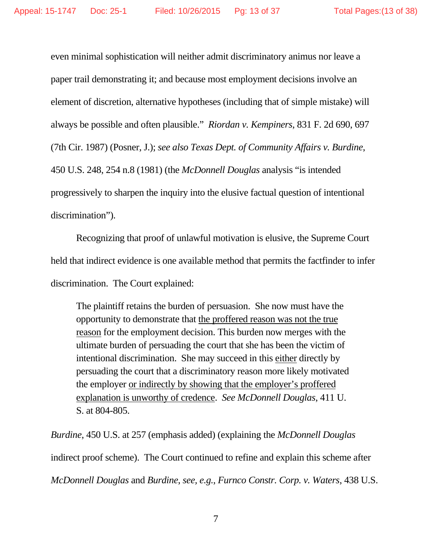even minimal sophistication will neither admit discriminatory animus nor leave a paper trail demonstrating it; and because most employment decisions involve an element of discretion, alternative hypotheses (including that of simple mistake) will always be possible and often plausible." *Riordan v. Kempiners*, 831 F. 2d 690, 697 (7th Cir. 1987) (Posner, J.); *see also Texas Dept. of Community Affairs v. Burdine*, 450 U.S. 248, 254 n.8 (1981) (the *McDonnell Douglas* analysis "is intended progressively to sharpen the inquiry into the elusive factual question of intentional discrimination").

Recognizing that proof of unlawful motivation is elusive, the Supreme Court held that indirect evidence is one available method that permits the factfinder to infer discrimination. The Court explained:

The plaintiff retains the burden of persuasion. She now must have the opportunity to demonstrate that the proffered reason was not the true reason for the employment decision. This burden now merges with the ultimate burden of persuading the court that she has been the victim of intentional discrimination. She may succeed in this either directly by persuading the court that a discriminatory reason more likely motivated the employer or indirectly by showing that the employer's proffered explanation is unworthy of credence. *See McDonnell Douglas*, 411 U. S. at 804-805.

*Burdine*, 450 U.S. at 257 (emphasis added) (explaining the *McDonnell Douglas* indirect proof scheme). The Court continued to refine and explain this scheme after *McDonnell Douglas* and *Burdine*, *see, e.g.*, *Furnco Constr. Corp. v. Waters*, 438 U.S.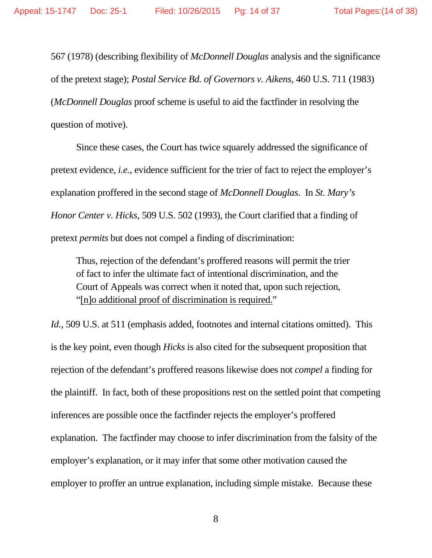567 (1978) (describing flexibility of *McDonnell Douglas* analysis and the significance of the pretext stage); *Postal Service Bd. of Governors v. Aikens*, 460 U.S. 711 (1983) (*McDonnell Douglas* proof scheme is useful to aid the factfinder in resolving the question of motive).

Since these cases, the Court has twice squarely addressed the significance of pretext evidence, *i.e.*, evidence sufficient for the trier of fact to reject the employer's explanation proffered in the second stage of *McDonnell Douglas*. In *St. Mary's Honor Center v. Hicks*, 509 U.S. 502 (1993), the Court clarified that a finding of pretext *permits* but does not compel a finding of discrimination:

Thus, rejection of the defendant's proffered reasons will permit the trier of fact to infer the ultimate fact of intentional discrimination, and the Court of Appeals was correct when it noted that, upon such rejection, "[n]o additional proof of discrimination is required."

*Id.*, 509 U.S. at 511 (emphasis added, footnotes and internal citations omitted). This is the key point, even though *Hicks* is also cited for the subsequent proposition that rejection of the defendant's proffered reasons likewise does not *compel* a finding for the plaintiff. In fact, both of these propositions rest on the settled point that competing inferences are possible once the factfinder rejects the employer's proffered explanation. The factfinder may choose to infer discrimination from the falsity of the employer's explanation, or it may infer that some other motivation caused the employer to proffer an untrue explanation, including simple mistake. Because these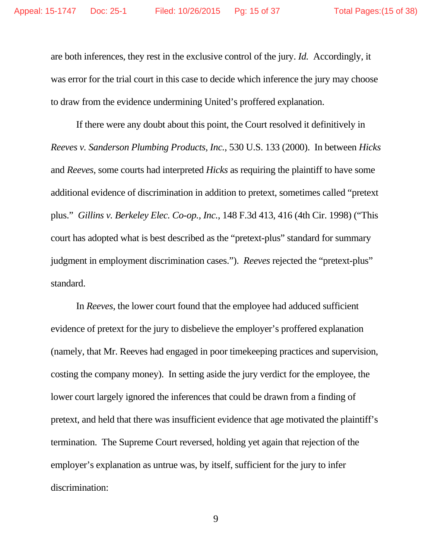are both inferences, they rest in the exclusive control of the jury. *Id.* Accordingly, it was error for the trial court in this case to decide which inference the jury may choose to draw from the evidence undermining United's proffered explanation.

 If there were any doubt about this point, the Court resolved it definitively in *Reeves v. Sanderson Plumbing Products, Inc.*, 530 U.S. 133 (2000). In between *Hicks*  and *Reeves*, some courts had interpreted *Hicks* as requiring the plaintiff to have some additional evidence of discrimination in addition to pretext, sometimes called "pretext plus." *Gillins v. Berkeley Elec. Co-op., Inc.*, 148 F.3d 413, 416 (4th Cir. 1998) ("This court has adopted what is best described as the "pretext-plus" standard for summary judgment in employment discrimination cases."). *Reeves* rejected the "pretext-plus" standard.

 In *Reeves*, the lower court found that the employee had adduced sufficient evidence of pretext for the jury to disbelieve the employer's proffered explanation (namely, that Mr. Reeves had engaged in poor timekeeping practices and supervision, costing the company money). In setting aside the jury verdict for the employee, the lower court largely ignored the inferences that could be drawn from a finding of pretext, and held that there was insufficient evidence that age motivated the plaintiff's termination. The Supreme Court reversed, holding yet again that rejection of the employer's explanation as untrue was, by itself, sufficient for the jury to infer discrimination: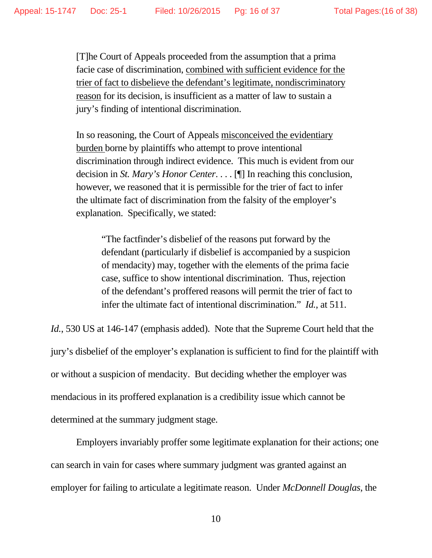[T]he Court of Appeals proceeded from the assumption that a prima facie case of discrimination, combined with sufficient evidence for the trier of fact to disbelieve the defendant's legitimate, nondiscriminatory reason for its decision, is insufficient as a matter of law to sustain a jury's finding of intentional discrimination.

In so reasoning, the Court of Appeals misconceived the evidentiary burden borne by plaintiffs who attempt to prove intentional discrimination through indirect evidence. This much is evident from our decision in *St. Mary's Honor Center*. . . . [¶] In reaching this conclusion, however, we reasoned that it is permissible for the trier of fact to infer the ultimate fact of discrimination from the falsity of the employer's explanation. Specifically, we stated:

"The factfinder's disbelief of the reasons put forward by the defendant (particularly if disbelief is accompanied by a suspicion of mendacity) may, together with the elements of the prima facie case, suffice to show intentional discrimination. Thus, rejection of the defendant's proffered reasons will permit the trier of fact to infer the ultimate fact of intentional discrimination." *Id.*, at 511.

*Id.*, 530 US at 146-147 (emphasis added). Note that the Supreme Court held that the jury's disbelief of the employer's explanation is sufficient to find for the plaintiff with or without a suspicion of mendacity. But deciding whether the employer was mendacious in its proffered explanation is a credibility issue which cannot be determined at the summary judgment stage.

 Employers invariably proffer some legitimate explanation for their actions; one can search in vain for cases where summary judgment was granted against an employer for failing to articulate a legitimate reason. Under *McDonnell Douglas*, the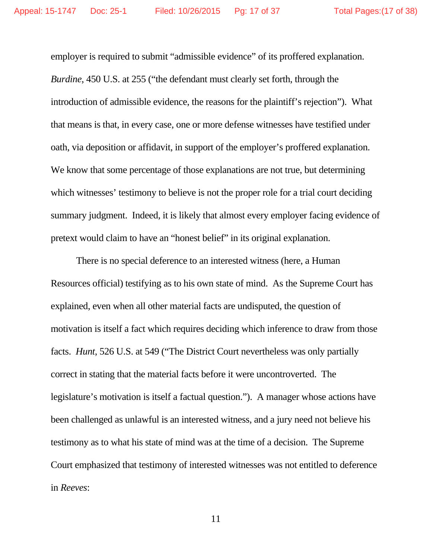employer is required to submit "admissible evidence" of its proffered explanation. *Burdine*, 450 U.S. at 255 ("the defendant must clearly set forth, through the introduction of admissible evidence, the reasons for the plaintiff's rejection"). What that means is that, in every case, one or more defense witnesses have testified under oath, via deposition or affidavit, in support of the employer's proffered explanation. We know that some percentage of those explanations are not true, but determining which witnesses' testimony to believe is not the proper role for a trial court deciding summary judgment. Indeed, it is likely that almost every employer facing evidence of pretext would claim to have an "honest belief" in its original explanation.

 There is no special deference to an interested witness (here, a Human Resources official) testifying as to his own state of mind. As the Supreme Court has explained, even when all other material facts are undisputed, the question of motivation is itself a fact which requires deciding which inference to draw from those facts. *Hunt*, 526 U.S. at 549 ("The District Court nevertheless was only partially correct in stating that the material facts before it were uncontroverted. The legislature's motivation is itself a factual question."). A manager whose actions have been challenged as unlawful is an interested witness, and a jury need not believe his testimony as to what his state of mind was at the time of a decision. The Supreme Court emphasized that testimony of interested witnesses was not entitled to deference in *Reeves*: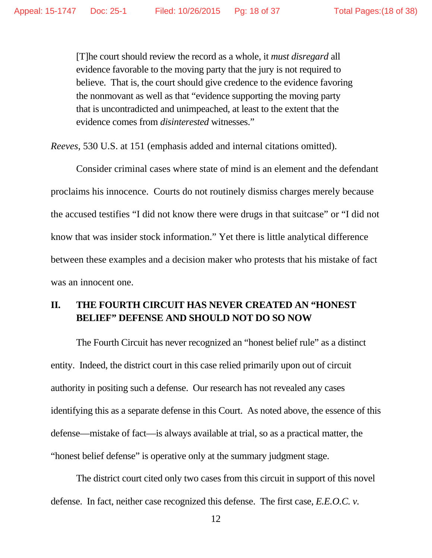[T]he court should review the record as a whole, it *must disregard* all evidence favorable to the moving party that the jury is not required to believe. That is, the court should give credence to the evidence favoring the nonmovant as well as that "evidence supporting the moving party that is uncontradicted and unimpeached, at least to the extent that the evidence comes from *disinterested* witnesses."

*Reeves*, 530 U.S. at 151 (emphasis added and internal citations omitted).

 Consider criminal cases where state of mind is an element and the defendant proclaims his innocence. Courts do not routinely dismiss charges merely because the accused testifies "I did not know there were drugs in that suitcase" or "I did not know that was insider stock information." Yet there is little analytical difference between these examples and a decision maker who protests that his mistake of fact was an innocent one.

## **II. THE FOURTH CIRCUIT HAS NEVER CREATED AN "HONEST BELIEF" DEFENSE AND SHOULD NOT DO SO NOW**

 The Fourth Circuit has never recognized an "honest belief rule" as a distinct entity. Indeed, the district court in this case relied primarily upon out of circuit authority in positing such a defense. Our research has not revealed any cases identifying this as a separate defense in this Court. As noted above, the essence of this defense—mistake of fact—is always available at trial, so as a practical matter, the "honest belief defense" is operative only at the summary judgment stage.

 The district court cited only two cases from this circuit in support of this novel defense. In fact, neither case recognized this defense. The first case, *E.E.O.C. v.*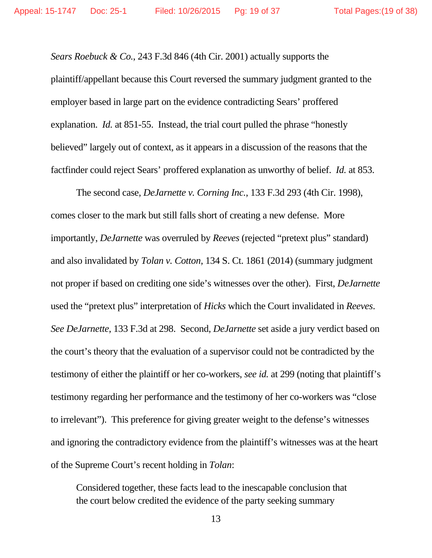*Sears Roebuck & Co.*, 243 F.3d 846 (4th Cir. 2001) actually supports the plaintiff/appellant because this Court reversed the summary judgment granted to the employer based in large part on the evidence contradicting Sears' proffered explanation. *Id.* at 851-55. Instead, the trial court pulled the phrase "honestly believed" largely out of context, as it appears in a discussion of the reasons that the factfinder could reject Sears' proffered explanation as unworthy of belief. *Id.* at 853.

 The second case, *DeJarnette v. Corning Inc.*, 133 F.3d 293 (4th Cir. 1998), comes closer to the mark but still falls short of creating a new defense. More importantly, *DeJarnette* was overruled by *Reeves* (rejected "pretext plus" standard) and also invalidated by *Tolan v. Cotton*, 134 S. Ct. 1861 (2014) (summary judgment not proper if based on crediting one side's witnesses over the other). First, *DeJarnette* used the "pretext plus" interpretation of *Hicks* which the Court invalidated in *Reeves*. *See DeJarnette*, 133 F.3d at 298. Second, *DeJarnette* set aside a jury verdict based on the court's theory that the evaluation of a supervisor could not be contradicted by the testimony of either the plaintiff or her co-workers, *see id.* at 299 (noting that plaintiff's testimony regarding her performance and the testimony of her co-workers was "close to irrelevant"). This preference for giving greater weight to the defense's witnesses and ignoring the contradictory evidence from the plaintiff's witnesses was at the heart of the Supreme Court's recent holding in *Tolan*:

Considered together, these facts lead to the inescapable conclusion that the court below credited the evidence of the party seeking summary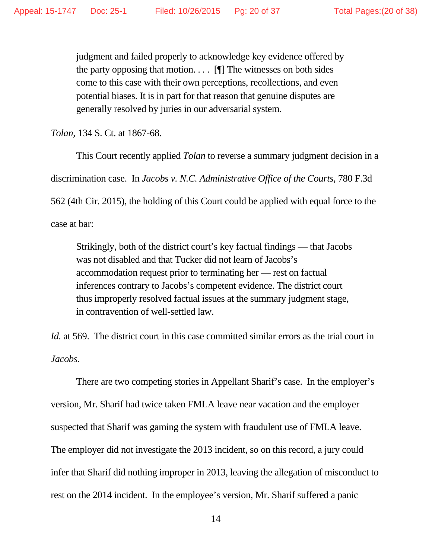judgment and failed properly to acknowledge key evidence offered by the party opposing that motion.  $\[\cdot\]$  The witnesses on both sides come to this case with their own perceptions, recollections, and even potential biases. It is in part for that reason that genuine disputes are generally resolved by juries in our adversarial system.

*Tolan*, 134 S. Ct. at 1867-68.

 This Court recently applied *Tolan* to reverse a summary judgment decision in a discrimination case. In *Jacobs v. N.C. Administrative Office of the Courts*, 780 F.3d 562 (4th Cir. 2015), the holding of this Court could be applied with equal force to the case at bar:

Strikingly, both of the district court's key factual findings — that Jacobs was not disabled and that Tucker did not learn of Jacobs's accommodation request prior to terminating her — rest on factual inferences contrary to Jacobs's competent evidence. The district court thus improperly resolved factual issues at the summary judgment stage, in contravention of well-settled law.

*Id.* at 569. The district court in this case committed similar errors as the trial court in *Jacobs*.

 There are two competing stories in Appellant Sharif's case. In the employer's version, Mr. Sharif had twice taken FMLA leave near vacation and the employer suspected that Sharif was gaming the system with fraudulent use of FMLA leave. The employer did not investigate the 2013 incident, so on this record, a jury could infer that Sharif did nothing improper in 2013, leaving the allegation of misconduct to rest on the 2014 incident. In the employee's version, Mr. Sharif suffered a panic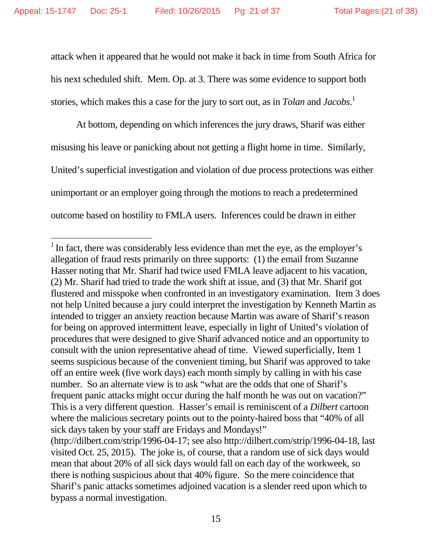$\overline{a}$ 

attack when it appeared that he would not make it back in time from South Africa for his next scheduled shift. Mem. Op. at 3. There was some evidence to support both stories, which makes this a case for the jury to sort out, as in *Tolan* and *Jacobs*. 1

 At bottom, depending on which inferences the jury draws, Sharif was either misusing his leave or panicking about not getting a flight home in time. Similarly, United's superficial investigation and violation of due process protections was either unimportant or an employer going through the motions to reach a predetermined outcome based on hostility to FMLA users. Inferences could be drawn in either

<sup>&</sup>lt;sup>1</sup> In fact, there was considerably less evidence than met the eye, as the employer's allegation of fraud rests primarily on three supports: (1) the email from Suzanne Hasser noting that Mr. Sharif had twice used FMLA leave adjacent to his vacation, (2) Mr. Sharif had tried to trade the work shift at issue, and (3) that Mr. Sharif got flustered and misspoke when confronted in an investigatory examination. Item 3 does not help United because a jury could interpret the investigation by Kenneth Martin as intended to trigger an anxiety reaction because Martin was aware of Sharif's reason for being on approved intermittent leave, especially in light of United's violation of procedures that were designed to give Sharif advanced notice and an opportunity to consult with the union representative ahead of time. Viewed superficially, Item 1 seems suspicious because of the convenient timing, but Sharif was approved to take off an entire week (five work days) each month simply by calling in with his case number. So an alternate view is to ask "what are the odds that one of Sharif's frequent panic attacks might occur during the half month he was out on vacation?" This is a very different question. Hasser's email is reminiscent of a *Dilbert* cartoon where the malicious secretary points out to the pointy-haired boss that "40% of all sick days taken by your staff are Fridays and Mondays!"

<sup>(</sup>http://dilbert.com/strip/1996-04-17; see also http://dilbert.com/strip/1996-04-18, last visited Oct. 25, 2015). The joke is, of course, that a random use of sick days would mean that about 20% of all sick days would fall on each day of the workweek, so there is nothing suspicious about that 40% figure. So the mere coincidence that Sharif's panic attacks sometimes adjoined vacation is a slender reed upon which to bypass a normal investigation.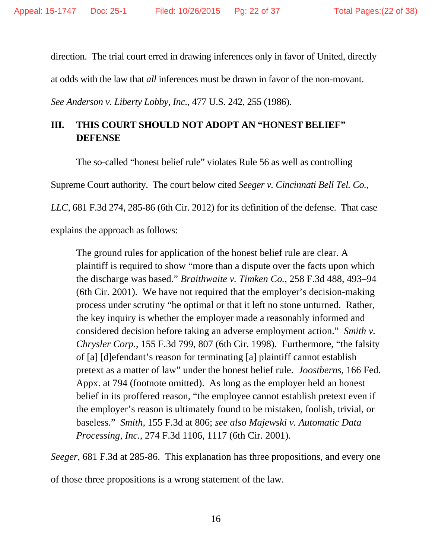direction. The trial court erred in drawing inferences only in favor of United, directly

at odds with the law that *all* inferences must be drawn in favor of the non-movant.

*See Anderson v. Liberty Lobby, Inc.*, 477 U.S. 242, 255 (1986).

## **III. THIS COURT SHOULD NOT ADOPT AN "HONEST BELIEF" DEFENSE**

The so-called "honest belief rule" violates Rule 56 as well as controlling

Supreme Court authority. The court below cited *Seeger v. Cincinnati Bell Tel. Co.,* 

*LLC*, 681 F.3d 274, 285-86 (6th Cir. 2012) for its definition of the defense. That case

explains the approach as follows:

The ground rules for application of the honest belief rule are clear. A plaintiff is required to show "more than a dispute over the facts upon which the discharge was based." *Braithwaite v. Timken Co.,* 258 F.3d 488, 493–94 (6th Cir. 2001). We have not required that the employer's decision-making process under scrutiny "be optimal or that it left no stone unturned. Rather, the key inquiry is whether the employer made a reasonably informed and considered decision before taking an adverse employment action." *Smith v. Chrysler Corp.*, 155 F.3d 799, 807 (6th Cir. 1998). Furthermore, "the falsity of [a] [d]efendant's reason for terminating [a] plaintiff cannot establish pretext as a matter of law" under the honest belief rule. *Joostberns,* 166 Fed. Appx. at 794 (footnote omitted). As long as the employer held an honest belief in its proffered reason, "the employee cannot establish pretext even if the employer's reason is ultimately found to be mistaken, foolish, trivial, or baseless." *Smith,* 155 F.3d at 806; *see also Majewski v. Automatic Data Processing, Inc.,* 274 F.3d 1106, 1117 (6th Cir. 2001).

*Seeger*, 681 F.3d at 285-86. This explanation has three propositions, and every one

of those three propositions is a wrong statement of the law.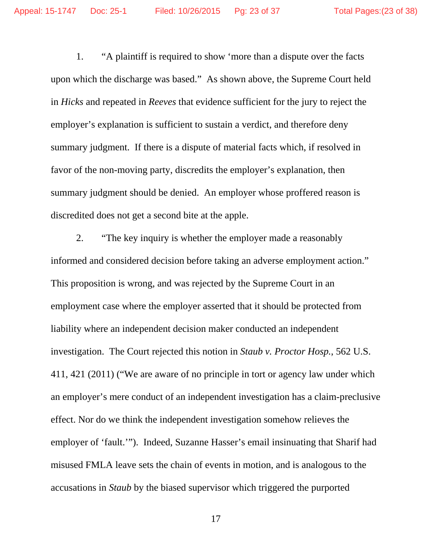1. "A plaintiff is required to show 'more than a dispute over the facts upon which the discharge was based." As shown above, the Supreme Court held in *Hicks* and repeated in *Reeves* that evidence sufficient for the jury to reject the employer's explanation is sufficient to sustain a verdict, and therefore deny summary judgment. If there is a dispute of material facts which, if resolved in favor of the non-moving party, discredits the employer's explanation, then summary judgment should be denied. An employer whose proffered reason is discredited does not get a second bite at the apple.

 2. "The key inquiry is whether the employer made a reasonably informed and considered decision before taking an adverse employment action." This proposition is wrong, and was rejected by the Supreme Court in an employment case where the employer asserted that it should be protected from liability where an independent decision maker conducted an independent investigation. The Court rejected this notion in *Staub v. Proctor Hosp.*, 562 U.S. 411, 421 (2011) ("We are aware of no principle in tort or agency law under which an employer's mere conduct of an independent investigation has a claim-preclusive effect. Nor do we think the independent investigation somehow relieves the employer of 'fault.'"). Indeed, Suzanne Hasser's email insinuating that Sharif had misused FMLA leave sets the chain of events in motion, and is analogous to the accusations in *Staub* by the biased supervisor which triggered the purported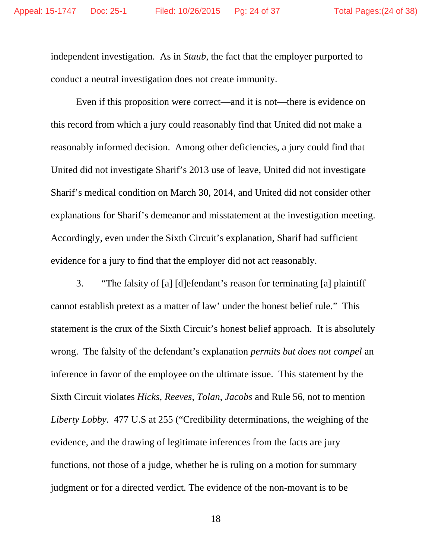independent investigation. As in *Staub*, the fact that the employer purported to conduct a neutral investigation does not create immunity.

 Even if this proposition were correct—and it is not—there is evidence on this record from which a jury could reasonably find that United did not make a reasonably informed decision. Among other deficiencies, a jury could find that United did not investigate Sharif's 2013 use of leave, United did not investigate Sharif's medical condition on March 30, 2014, and United did not consider other explanations for Sharif's demeanor and misstatement at the investigation meeting. Accordingly, even under the Sixth Circuit's explanation, Sharif had sufficient evidence for a jury to find that the employer did not act reasonably.

 3. "The falsity of [a] [d]efendant's reason for terminating [a] plaintiff cannot establish pretext as a matter of law' under the honest belief rule." This statement is the crux of the Sixth Circuit's honest belief approach. It is absolutely wrong. The falsity of the defendant's explanation *permits but does not compel* an inference in favor of the employee on the ultimate issue. This statement by the Sixth Circuit violates *Hicks*, *Reeves*, *Tolan*, *Jacobs* and Rule 56, not to mention *Liberty Lobby*. 477 U.S at 255 ("Credibility determinations, the weighing of the evidence, and the drawing of legitimate inferences from the facts are jury functions, not those of a judge, whether he is ruling on a motion for summary judgment or for a directed verdict. The evidence of the non-movant is to be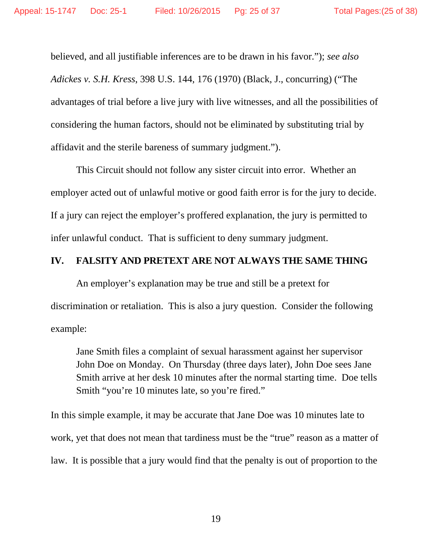believed, and all justifiable inferences are to be drawn in his favor."); *see also Adickes v. S.H. Kress*, 398 U.S. 144, 176 (1970) (Black, J., concurring) ("The advantages of trial before a live jury with live witnesses, and all the possibilities of considering the human factors, should not be eliminated by substituting trial by affidavit and the sterile bareness of summary judgment.").

 This Circuit should not follow any sister circuit into error. Whether an employer acted out of unlawful motive or good faith error is for the jury to decide. If a jury can reject the employer's proffered explanation, the jury is permitted to infer unlawful conduct. That is sufficient to deny summary judgment.

## **IV. FALSITY AND PRETEXT ARE NOT ALWAYS THE SAME THING**

 An employer's explanation may be true and still be a pretext for discrimination or retaliation. This is also a jury question. Consider the following example:

Jane Smith files a complaint of sexual harassment against her supervisor John Doe on Monday. On Thursday (three days later), John Doe sees Jane Smith arrive at her desk 10 minutes after the normal starting time. Doe tells Smith "you're 10 minutes late, so you're fired."

In this simple example, it may be accurate that Jane Doe was 10 minutes late to work, yet that does not mean that tardiness must be the "true" reason as a matter of law. It is possible that a jury would find that the penalty is out of proportion to the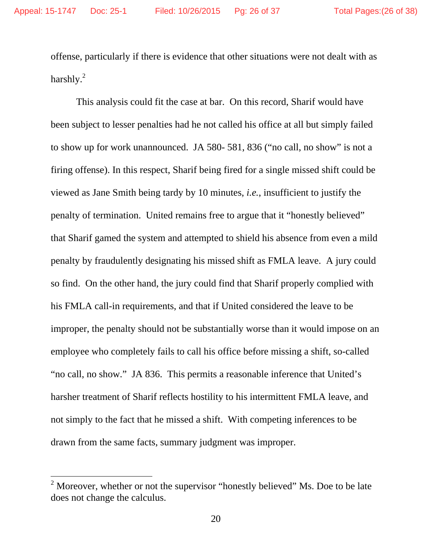$\overline{a}$ 

offense, particularly if there is evidence that other situations were not dealt with as harshly. $^{2}$ 

 This analysis could fit the case at bar. On this record, Sharif would have been subject to lesser penalties had he not called his office at all but simply failed to show up for work unannounced. JA 580- 581, 836 ("no call, no show" is not a firing offense). In this respect, Sharif being fired for a single missed shift could be viewed as Jane Smith being tardy by 10 minutes, *i.e.*, insufficient to justify the penalty of termination. United remains free to argue that it "honestly believed" that Sharif gamed the system and attempted to shield his absence from even a mild penalty by fraudulently designating his missed shift as FMLA leave. A jury could so find. On the other hand, the jury could find that Sharif properly complied with his FMLA call-in requirements, and that if United considered the leave to be improper, the penalty should not be substantially worse than it would impose on an employee who completely fails to call his office before missing a shift, so-called "no call, no show." JA 836. This permits a reasonable inference that United's harsher treatment of Sharif reflects hostility to his intermittent FMLA leave, and not simply to the fact that he missed a shift. With competing inferences to be drawn from the same facts, summary judgment was improper.

<sup>&</sup>lt;sup>2</sup> Moreover, whether or not the supervisor "honestly believed" Ms. Doe to be late does not change the calculus.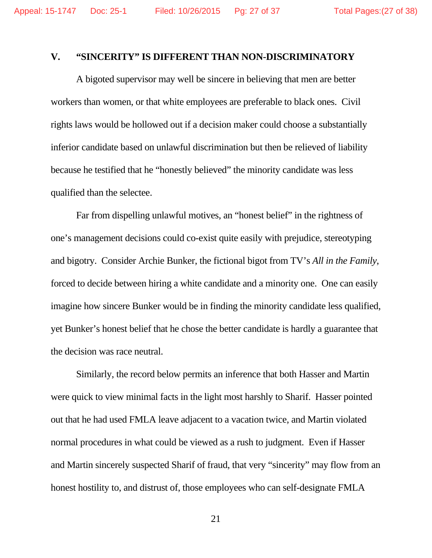### **V. "SINCERITY" IS DIFFERENT THAN NON-DISCRIMINATORY**

 A bigoted supervisor may well be sincere in believing that men are better workers than women, or that white employees are preferable to black ones. Civil rights laws would be hollowed out if a decision maker could choose a substantially inferior candidate based on unlawful discrimination but then be relieved of liability because he testified that he "honestly believed" the minority candidate was less qualified than the selectee.

 Far from dispelling unlawful motives, an "honest belief" in the rightness of one's management decisions could co-exist quite easily with prejudice, stereotyping and bigotry. Consider Archie Bunker, the fictional bigot from TV's *All in the Family*, forced to decide between hiring a white candidate and a minority one. One can easily imagine how sincere Bunker would be in finding the minority candidate less qualified, yet Bunker's honest belief that he chose the better candidate is hardly a guarantee that the decision was race neutral.

 Similarly, the record below permits an inference that both Hasser and Martin were quick to view minimal facts in the light most harshly to Sharif. Hasser pointed out that he had used FMLA leave adjacent to a vacation twice, and Martin violated normal procedures in what could be viewed as a rush to judgment. Even if Hasser and Martin sincerely suspected Sharif of fraud, that very "sincerity" may flow from an honest hostility to, and distrust of, those employees who can self-designate FMLA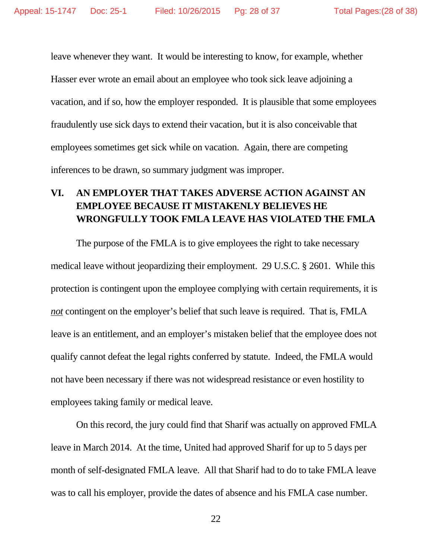leave whenever they want. It would be interesting to know, for example, whether Hasser ever wrote an email about an employee who took sick leave adjoining a vacation, and if so, how the employer responded. It is plausible that some employees fraudulently use sick days to extend their vacation, but it is also conceivable that employees sometimes get sick while on vacation. Again, there are competing inferences to be drawn, so summary judgment was improper.

## **VI. AN EMPLOYER THAT TAKES ADVERSE ACTION AGAINST AN EMPLOYEE BECAUSE IT MISTAKENLY BELIEVES HE WRONGFULLY TOOK FMLA LEAVE HAS VIOLATED THE FMLA**

The purpose of the FMLA is to give employees the right to take necessary medical leave without jeopardizing their employment. 29 U.S.C. § 2601. While this protection is contingent upon the employee complying with certain requirements, it is *not* contingent on the employer's belief that such leave is required. That is, FMLA leave is an entitlement, and an employer's mistaken belief that the employee does not qualify cannot defeat the legal rights conferred by statute. Indeed, the FMLA would not have been necessary if there was not widespread resistance or even hostility to employees taking family or medical leave.

On this record, the jury could find that Sharif was actually on approved FMLA leave in March 2014. At the time, United had approved Sharif for up to 5 days per month of self-designated FMLA leave. All that Sharif had to do to take FMLA leave was to call his employer, provide the dates of absence and his FMLA case number.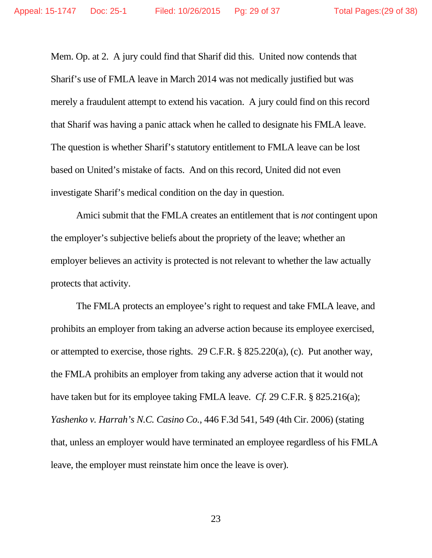Mem. Op. at 2. A jury could find that Sharif did this. United now contends that Sharif's use of FMLA leave in March 2014 was not medically justified but was merely a fraudulent attempt to extend his vacation. A jury could find on this record that Sharif was having a panic attack when he called to designate his FMLA leave. The question is whether Sharif's statutory entitlement to FMLA leave can be lost based on United's mistake of facts. And on this record, United did not even investigate Sharif's medical condition on the day in question.

Amici submit that the FMLA creates an entitlement that is *not* contingent upon the employer's subjective beliefs about the propriety of the leave; whether an employer believes an activity is protected is not relevant to whether the law actually protects that activity.

The FMLA protects an employee's right to request and take FMLA leave, and prohibits an employer from taking an adverse action because its employee exercised, or attempted to exercise, those rights. 29 C.F.R. § 825.220(a), (c). Put another way, the FMLA prohibits an employer from taking any adverse action that it would not have taken but for its employee taking FMLA leave. *Cf.* 29 C.F.R. § 825.216(a); *Yashenko v. Harrah's N.C. Casino Co.*, 446 F.3d 541, 549 (4th Cir. 2006) (stating that, unless an employer would have terminated an employee regardless of his FMLA leave, the employer must reinstate him once the leave is over).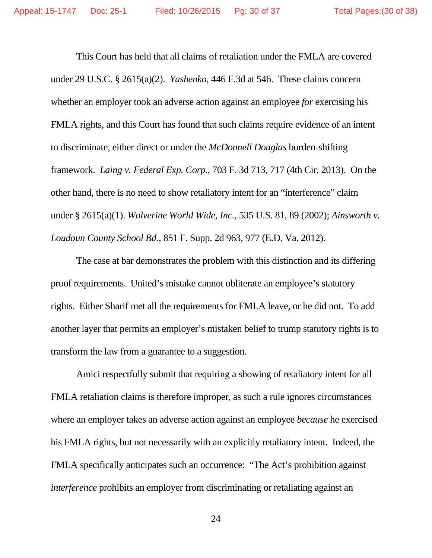This Court has held that all claims of retaliation under the FMLA are covered under 29 U.S.C. § 2615(a)(2). *Yashenko*, 446 F.3d at 546. These claims concern whether an employer took an adverse action against an employee *for* exercising his FMLA rights, and this Court has found that such claims require evidence of an intent to discriminate, either direct or under the *McDonnell Douglas* burden-shifting framework. *Laing v. Federal Exp. Corp.*, 703 F. 3d 713, 717 (4th Cir. 2013). On the other hand, there is no need to show retaliatory intent for an "interference" claim under § 2615(a)(1). *Wolverine World Wide, Inc.*, 535 U.S. 81, 89 (2002); *Ainsworth v. Loudoun County School Bd.*, 851 F. Supp. 2d 963, 977 (E.D. Va. 2012).

The case at bar demonstrates the problem with this distinction and its differing proof requirements. United's mistake cannot obliterate an employee's statutory rights. Either Sharif met all the requirements for FMLA leave, or he did not. To add another layer that permits an employer's mistaken belief to trump statutory rights is to transform the law from a guarantee to a suggestion.

Amici respectfully submit that requiring a showing of retaliatory intent for all FMLA retaliation claims is therefore improper, as such a rule ignores circumstances where an employer takes an adverse action against an employee *because* he exercised his FMLA rights, but not necessarily with an explicitly retaliatory intent. Indeed, the FMLA specifically anticipates such an occurrence: "The Act's prohibition against *interference* prohibits an employer from discriminating or retaliating against an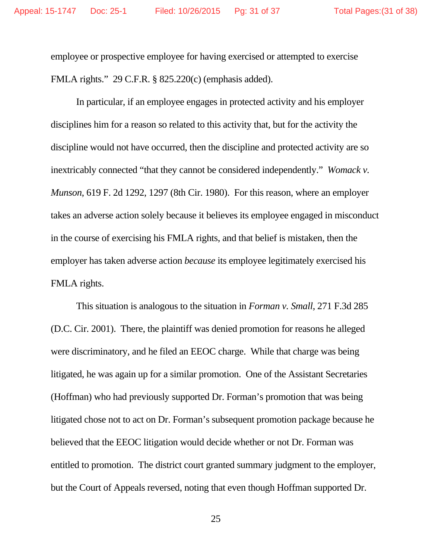employee or prospective employee for having exercised or attempted to exercise FMLA rights." 29 C.F.R. § 825.220(c) (emphasis added).

In particular, if an employee engages in protected activity and his employer disciplines him for a reason so related to this activity that, but for the activity the discipline would not have occurred, then the discipline and protected activity are so inextricably connected "that they cannot be considered independently." *Womack v. Munson*, 619 F. 2d 1292, 1297 (8th Cir. 1980). For this reason, where an employer takes an adverse action solely because it believes its employee engaged in misconduct in the course of exercising his FMLA rights, and that belief is mistaken, then the employer has taken adverse action *because* its employee legitimately exercised his FMLA rights.

This situation is analogous to the situation in *Forman v. Small*, 271 F.3d 285 (D.C. Cir. 2001). There, the plaintiff was denied promotion for reasons he alleged were discriminatory, and he filed an EEOC charge. While that charge was being litigated, he was again up for a similar promotion. One of the Assistant Secretaries (Hoffman) who had previously supported Dr. Forman's promotion that was being litigated chose not to act on Dr. Forman's subsequent promotion package because he believed that the EEOC litigation would decide whether or not Dr. Forman was entitled to promotion. The district court granted summary judgment to the employer, but the Court of Appeals reversed, noting that even though Hoffman supported Dr.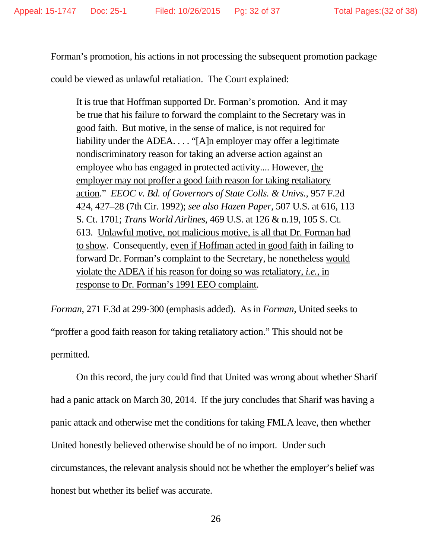Forman's promotion, his actions in not processing the subsequent promotion package

could be viewed as unlawful retaliation. The Court explained:

It is true that Hoffman supported Dr. Forman's promotion. And it may be true that his failure to forward the complaint to the Secretary was in good faith. But motive, in the sense of malice, is not required for liability under the ADEA. . . . "[A]n employer may offer a legitimate nondiscriminatory reason for taking an adverse action against an employee who has engaged in protected activity.... However, the employer may not proffer a good faith reason for taking retaliatory action." *EEOC v. Bd. of Governors of State Colls. & Univs.*, 957 F.2d 424, 427–28 (7th Cir. 1992); *see also Hazen Paper*, 507 U.S. at 616, 113 S. Ct. 1701; *Trans World Airlines*, 469 U.S. at 126 & n.19, 105 S. Ct. 613. Unlawful motive, not malicious motive, is all that Dr. Forman had to show. Consequently, even if Hoffman acted in good faith in failing to forward Dr. Forman's complaint to the Secretary, he nonetheless would violate the ADEA if his reason for doing so was retaliatory, *i.e.*, in response to Dr. Forman's 1991 EEO complaint.

*Forman*, 271 F.3d at 299-300 (emphasis added). As in *Forman*, United seeks to "proffer a good faith reason for taking retaliatory action." This should not be permitted.

On this record, the jury could find that United was wrong about whether Sharif had a panic attack on March 30, 2014. If the jury concludes that Sharif was having a panic attack and otherwise met the conditions for taking FMLA leave, then whether United honestly believed otherwise should be of no import. Under such circumstances, the relevant analysis should not be whether the employer's belief was honest but whether its belief was accurate.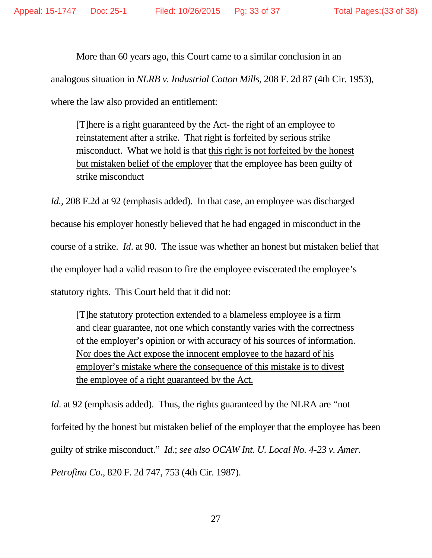More than 60 years ago, this Court came to a similar conclusion in an analogous situation in *NLRB v. Industrial Cotton Mills*, 208 F. 2d 87 (4th Cir. 1953), where the law also provided an entitlement:

[T]here is a right guaranteed by the Act- the right of an employee to reinstatement after a strike. That right is forfeited by serious strike misconduct. What we hold is that this right is not forfeited by the honest but mistaken belief of the employer that the employee has been guilty of strike misconduct

*Id.*, 208 F.2d at 92 (emphasis added). In that case, an employee was discharged because his employer honestly believed that he had engaged in misconduct in the course of a strike. *Id*. at 90. The issue was whether an honest but mistaken belief that the employer had a valid reason to fire the employee eviscerated the employee's statutory rights. This Court held that it did not:

[T]he statutory protection extended to a blameless employee is a firm and clear guarantee, not one which constantly varies with the correctness of the employer's opinion or with accuracy of his sources of information. Nor does the Act expose the innocent employee to the hazard of his employer's mistake where the consequence of this mistake is to divest the employee of a right guaranteed by the Act.

*Id.* at 92 (emphasis added). Thus, the rights guaranteed by the NLRA are "not forfeited by the honest but mistaken belief of the employer that the employee has been guilty of strike misconduct." *Id*.; *see also OCAW Int. U. Local No. 4-23 v. Amer. Petrofina Co.*, 820 F. 2d 747, 753 (4th Cir. 1987).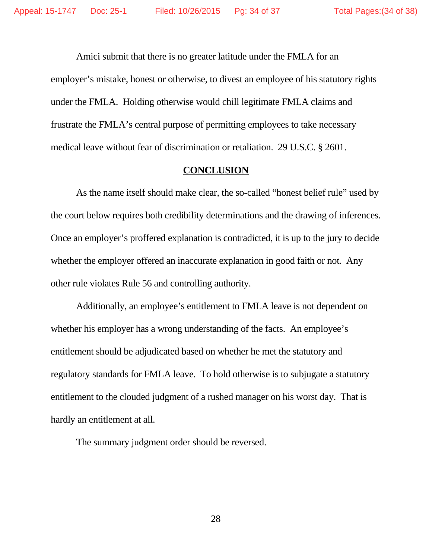Amici submit that there is no greater latitude under the FMLA for an employer's mistake, honest or otherwise, to divest an employee of his statutory rights under the FMLA. Holding otherwise would chill legitimate FMLA claims and frustrate the FMLA's central purpose of permitting employees to take necessary medical leave without fear of discrimination or retaliation. 29 U.S.C. § 2601.

### **CONCLUSION**

As the name itself should make clear, the so-called "honest belief rule" used by the court below requires both credibility determinations and the drawing of inferences. Once an employer's proffered explanation is contradicted, it is up to the jury to decide whether the employer offered an inaccurate explanation in good faith or not. Any other rule violates Rule 56 and controlling authority.

Additionally, an employee's entitlement to FMLA leave is not dependent on whether his employer has a wrong understanding of the facts. An employee's entitlement should be adjudicated based on whether he met the statutory and regulatory standards for FMLA leave. To hold otherwise is to subjugate a statutory entitlement to the clouded judgment of a rushed manager on his worst day. That is hardly an entitlement at all.

The summary judgment order should be reversed.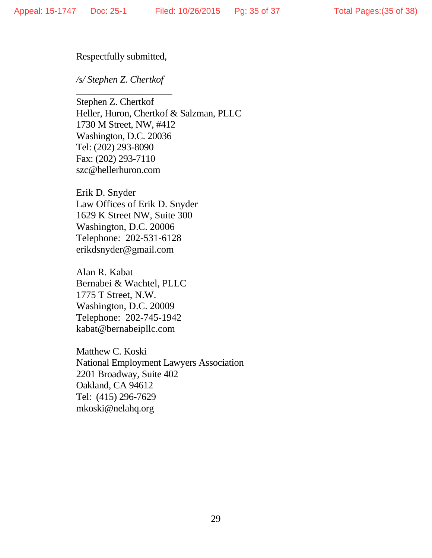### Respectfully submitted,

## */s/ Stephen Z. Chertkof*

 $\overline{\phantom{a}}$  , which is a set of the set of the set of the set of the set of the set of the set of the set of the set of the set of the set of the set of the set of the set of the set of the set of the set of the set of th

Stephen Z. Chertkof Heller, Huron, Chertkof & Salzman, PLLC 1730 M Street, NW, #412 Washington, D.C. 20036 Tel: (202) 293-8090 Fax: (202) 293-7110 szc@hellerhuron.com

Erik D. Snyder Law Offices of Erik D. Snyder 1629 K Street NW, Suite 300 Washington, D.C. 20006 Telephone: 202-531-6128 erikdsnyder@gmail.com

Alan R. Kabat Bernabei & Wachtel, PLLC 1775 T Street, N.W. Washington, D.C. 20009 Telephone: 202-745-1942 kabat@bernabeipllc.com

Matthew C. Koski National Employment Lawyers Association 2201 Broadway, Suite 402 Oakland, CA 94612 Tel: (415) 296-7629 mkoski@nelahq.org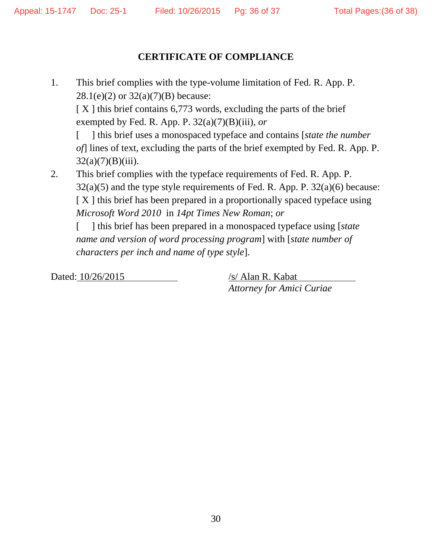## **CERTIFICATE OF COMPLIANCE**

1. This brief complies with the type-volume limitation of Fed. R. App. P.  $28.1(e)(2)$  or  $32(a)(7)(B)$  because:  $[X]$  this brief contains 6,773 words, excluding the parts of the brief

exempted by Fed. R. App. P. 32(a)(7)(B)(iii), *or* 

[ ] this brief uses a monospaced typeface and contains [*state the number of*] lines of text, excluding the parts of the brief exempted by Fed. R. App. P.  $32(a)(7)(B)(iii)$ .

2. This brief complies with the typeface requirements of Fed. R. App. P.  $32(a)(5)$  and the type style requirements of Fed. R. App. P.  $32(a)(6)$  because: [ X ] this brief has been prepared in a proportionally spaced typeface using *Microsoft Word 2010* in *14pt Times New Roman*; *or* 

[ ] this brief has been prepared in a monospaced typeface using [*state name and version of word processing program*] with [*state number of characters per inch and name of type style*].

Dated: 10/26/2015 /s/ Alan R. Kabat

*Attorney for Amici Curiae*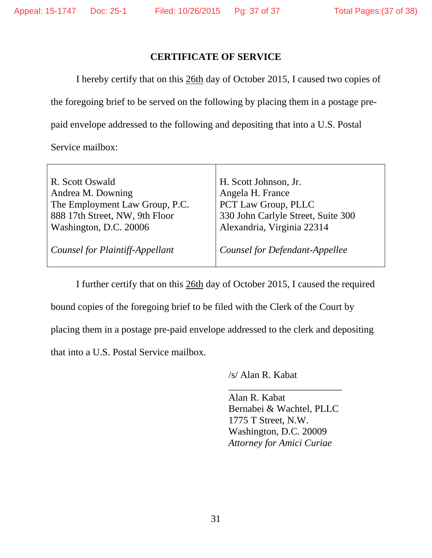## **CERTIFICATE OF SERVICE**

 I hereby certify that on this 26th day of October 2015, I caused two copies of the foregoing brief to be served on the following by placing them in a postage prepaid envelope addressed to the following and depositing that into a U.S. Postal

Service mailbox:

| R. Scott Oswald                 | H. Scott Johnson, Jr.                 |
|---------------------------------|---------------------------------------|
| Andrea M. Downing               | Angela H. France                      |
| The Employment Law Group, P.C.  | PCT Law Group, PLLC                   |
| 888 17th Street, NW, 9th Floor  | 330 John Carlyle Street, Suite 300    |
| Washington, D.C. 20006          | Alexandria, Virginia 22314            |
|                                 |                                       |
| Counsel for Plaintiff-Appellant | <b>Counsel for Defendant-Appellee</b> |
|                                 |                                       |

I further certify that on this 26th day of October 2015, I caused the required bound copies of the foregoing brief to be filed with the Clerk of the Court by placing them in a postage pre-paid envelope addressed to the clerk and depositing that into a U.S. Postal Service mailbox.

/s/ Alan R. Kabat

 $\overline{\phantom{a}}$  , and the contract of the contract of the contract of the contract of the contract of the contract of the contract of the contract of the contract of the contract of the contract of the contract of the contrac Alan R. Kabat Bernabei & Wachtel, PLLC 1775 T Street, N.W. Washington, D.C. 20009 *Attorney for Amici Curiae*